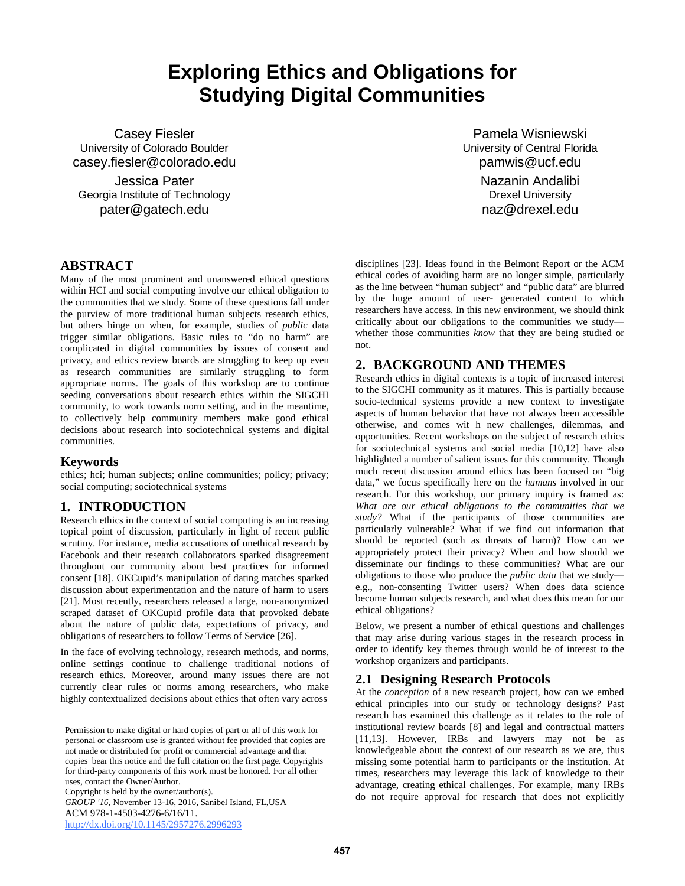# **Exploring Ethics and Obligations for Studying Digital Communities**

Casey Fiesler University of Colorado Boulder casey.fiesler@colorado.edu

Jessica Pater Georgia Institute of Technology pater@gatech.edu

Pamela Wisniewski University of Central Florida pamwis@ucf.edu Nazanin Andalibi Drexel University naz@drexel.edu

# **ABSTRACT**

Many of the most prominent and unanswered ethical questions within HCI and social computing involve our ethical obligation to the communities that we study. Some of these questions fall under the purview of more traditional human subjects research ethics, but others hinge on when, for example, studies of *public* data trigger similar obligations. Basic rules to "do no harm" are complicated in digital communities by issues of consent and privacy, and ethics review boards are struggling to keep up even as research communities are similarly struggling to form appropriate norms. The goals of this workshop are to continue seeding conversations about research ethics within the SIGCHI community, to work towards norm setting, and in the meantime, to collectively help community members make good ethical decisions about research into sociotechnical systems and digital communities.

#### **Keywords**

ethics; hci; human subjects; online communities; policy; privacy; social computing; sociotechnical systems

#### **1. INTRODUCTION**

Research ethics in the context of social computing is an increasing topical point of discussion, particularly in light of recent public scrutiny. For instance, media accusations of unethical research by Facebook and their research collaborators sparked disagreement throughout our community about best practices for informed consent [18]. OKCupid's manipulation of dating matches sparked discussion about experimentation and the nature of harm to users [21]. Most recently, researchers released a large, non-anonymized scraped dataset of OKCupid profile data that provoked debate about the nature of public data, expectations of privacy, and obligations of researchers to follow Terms of Service [26].

In the face of evolving technology, research methods, and norms, online settings continue to challenge traditional notions of research ethics. Moreover, around many issues there are not currently clear rules or norms among researchers, who make highly contextualized decisions about ethics that often vary across

Permission to make digital or hard copies of part or all of this work for personal or classroom use is granted without fee provided that copies are not made or distributed for profit or commercial advantage and that copies bear this notice and the full citation on the first page. Copyrights for third-party components of this work must be honored. For all other uses, contact the Owner/Author.

Copyright is held by the owner/author(s).

*GROUP '16*, November 13-16, 2016, Sanibel Island, FL,USA ACM 978-1-4503-4276-6/16/11. <http://dx.doi.org/10.1145/2957276.2996293>

disciplines [23]. Ideas found in the Belmont Report or the ACM ethical codes of avoiding harm are no longer simple, particularly as the line between "human subject" and "public data" are blurred by the huge amount of user- generated content to which researchers have access. In this new environment, we should think critically about our obligations to the communities we study whether those communities *know* that they are being studied or not.

## **2. BACKGROUND AND THEMES**

Research ethics in digital contexts is a topic of increased interest to the SIGCHI community as it matures. This is partially because socio-technical systems provide a new context to investigate aspects of human behavior that have not always been accessible otherwise, and comes wit h new challenges, dilemmas, and opportunities. Recent workshops on the subject of research ethics for sociotechnical systems and social media [10,12] have also highlighted a number of salient issues for this community. Though much recent discussion around ethics has been focused on "big data," we focus specifically here on the *humans* involved in our research. For this workshop, our primary inquiry is framed as: *What are our ethical obligations to the communities that we study?* What if the participants of those communities are particularly vulnerable? What if we find out information that should be reported (such as threats of harm)? How can we appropriately protect their privacy? When and how should we disseminate our findings to these communities? What are our obligations to those who produce the *public data* that we study e.g., non-consenting Twitter users? When does data science become human subjects research, and what does this mean for our ethical obligations?

Below, we present a number of ethical questions and challenges that may arise during various stages in the research process in order to identify key themes through would be of interest to the workshop organizers and participants.

#### **2.1 Designing Research Protocols**

At the *conception* of a new research project, how can we embed ethical principles into our study or technology designs? Past research has examined this challenge as it relates to the role of institutional review boards [8] and legal and contractual matters [11,13]. However, IRBs and lawyers may not be as knowledgeable about the context of our research as we are, thus missing some potential harm to participants or the institution. At times, researchers may leverage this lack of knowledge to their advantage, creating ethical challenges. For example, many IRBs do not require approval for research that does not explicitly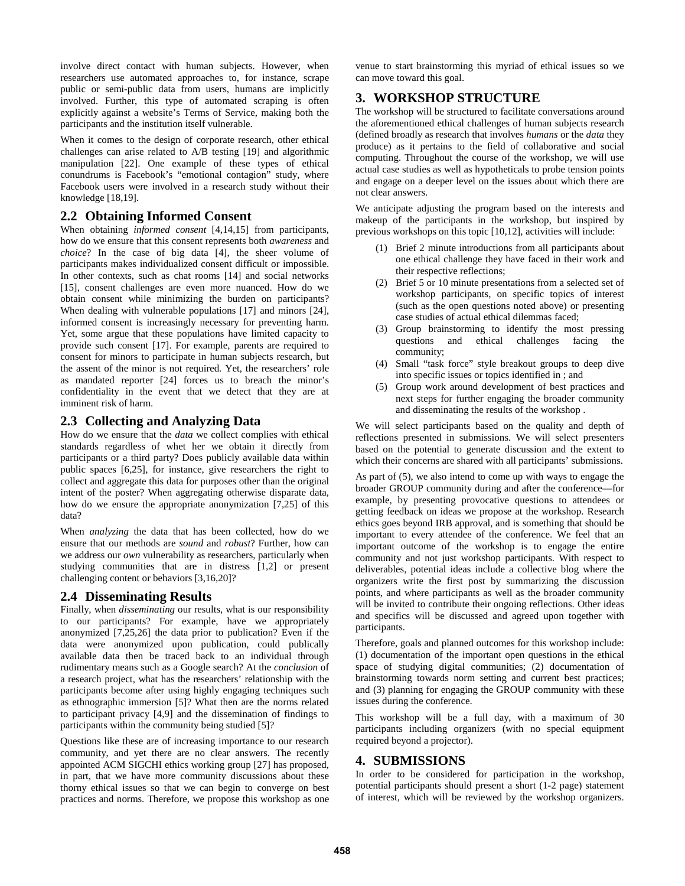involve direct contact with human subjects. However, when researchers use automated approaches to, for instance, scrape public or semi-public data from users, humans are implicitly involved. Further, this type of automated scraping is often explicitly against a website's Terms of Service, making both the participants and the institution itself vulnerable.

When it comes to the design of corporate research, other ethical challenges can arise related to A/B testing [19] and algorithmic manipulation [22]. One example of these types of ethical conundrums is Facebook's "emotional contagion" study, where Facebook users were involved in a research study without their knowledge [18,19].

## **2.2 Obtaining Informed Consent**

When obtaining *informed consent* [4,14,15] from participants, how do we ensure that this consent represents both *awareness* and *choice*? In the case of big data [4], the sheer volume of participants makes individualized consent difficult or impossible. In other contexts, such as chat rooms [14] and social networks [15], consent challenges are even more nuanced. How do we obtain consent while minimizing the burden on participants? When dealing with vulnerable populations [17] and minors [24], informed consent is increasingly necessary for preventing harm. Yet, some argue that these populations have limited capacity to provide such consent [17]. For example, parents are required to consent for minors to participate in human subjects research, but the assent of the minor is not required. Yet, the researchers' role as mandated reporter [24] forces us to breach the minor's confidentiality in the event that we detect that they are at imminent risk of harm.

#### **2.3 Collecting and Analyzing Data**

How do we ensure that the *data* we collect complies with ethical standards regardless of whet her we obtain it directly from participants or a third party? Does publicly available data within public spaces [6,25], for instance, give researchers the right to collect and aggregate this data for purposes other than the original intent of the poster? When aggregating otherwise disparate data, how do we ensure the appropriate anonymization [7,25] of this data?

When *analyzing* the data that has been collected, how do we ensure that our methods are *sound* and *robust*? Further, how can we address our *own* vulnerability as researchers, particularly when studying communities that are in distress [1,2] or present challenging content or behaviors [3,16,20]?

# **2.4 Disseminating Results**

Finally, when *disseminating* our results, what is our responsibility to our participants? For example, have we appropriately anonymized [7,25,26] the data prior to publication? Even if the data were anonymized upon publication, could publically available data then be traced back to an individual through rudimentary means such as a Google search? At the *conclusion* of a research project, what has the researchers' relationship with the participants become after using highly engaging techniques such as ethnographic immersion [5]? What then are the norms related to participant privacy [4,9] and the dissemination of findings to participants within the community being studied [5]?

Questions like these are of increasing importance to our research community, and yet there are no clear answers. The recently appointed ACM SIGCHI ethics working group [27] has proposed, in part, that we have more community discussions about these thorny ethical issues so that we can begin to converge on best practices and norms. Therefore, we propose this workshop as one venue to start brainstorming this myriad of ethical issues so we can move toward this goal.

# **3. WORKSHOP STRUCTURE**

The workshop will be structured to facilitate conversations around the aforementioned ethical challenges of human subjects research (defined broadly as research that involves *humans* or the *data* they produce) as it pertains to the field of collaborative and social computing. Throughout the course of the workshop, we will use actual case studies as well as hypotheticals to probe tension points and engage on a deeper level on the issues about which there are not clear answers.

We anticipate adjusting the program based on the interests and makeup of the participants in the workshop, but inspired by previous workshops on this topic [10,12], activities will include:

- (1) Brief 2 minute introductions from all participants about one ethical challenge they have faced in their work and their respective reflections;
- (2) Brief 5 or 10 minute presentations from a selected set of workshop participants, on specific topics of interest (such as the open questions noted above) or presenting case studies of actual ethical dilemmas faced;
- (3) Group brainstorming to identify the most pressing questions and ethical challenges facing the community;
- (4) Small "task force" style breakout groups to deep dive into specific issues or topics identified in ; and
- (5) Group work around development of best practices and next steps for further engaging the broader community and disseminating the results of the workshop .

We will select participants based on the quality and depth of reflections presented in submissions. We will select presenters based on the potential to generate discussion and the extent to which their concerns are shared with all participants' submissions.

As part of (5), we also intend to come up with ways to engage the broader GROUP community during and after the conference—for example, by presenting provocative questions to attendees or getting feedback on ideas we propose at the workshop. Research ethics goes beyond IRB approval, and is something that should be important to every attendee of the conference. We feel that an important outcome of the workshop is to engage the entire community and not just workshop participants. With respect to deliverables, potential ideas include a collective blog where the organizers write the first post by summarizing the discussion points, and where participants as well as the broader community will be invited to contribute their ongoing reflections. Other ideas and specifics will be discussed and agreed upon together with participants.

Therefore, goals and planned outcomes for this workshop include: (1) documentation of the important open questions in the ethical space of studying digital communities; (2) documentation of brainstorming towards norm setting and current best practices; and (3) planning for engaging the GROUP community with these issues during the conference.

This workshop will be a full day, with a maximum of 30 participants including organizers (with no special equipment required beyond a projector).

# **4. SUBMISSIONS**

In order to be considered for participation in the workshop, potential participants should present a short (1-2 page) statement of interest, which will be reviewed by the workshop organizers.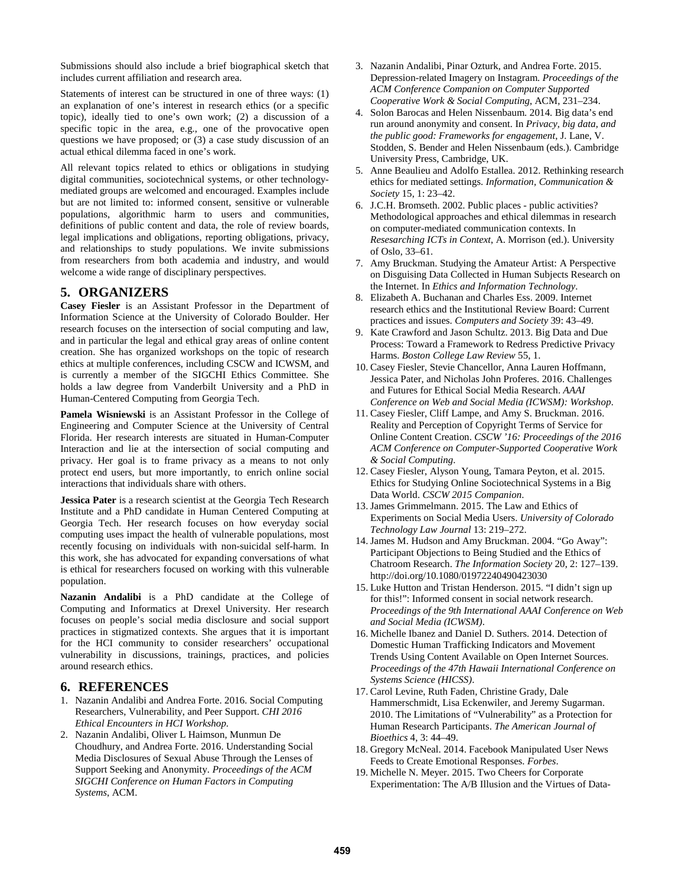Submissions should also include a brief biographical sketch that includes current affiliation and research area.

Statements of interest can be structured in one of three ways: (1) an explanation of one's interest in research ethics (or a specific topic), ideally tied to one's own work; (2) a discussion of a specific topic in the area, e.g., one of the provocative open questions we have proposed; or (3) a case study discussion of an actual ethical dilemma faced in one's work.

All relevant topics related to ethics or obligations in studying digital communities, sociotechnical systems, or other technologymediated groups are welcomed and encouraged. Examples include but are not limited to: informed consent, sensitive or vulnerable populations, algorithmic harm to users and communities, definitions of public content and data, the role of review boards, legal implications and obligations, reporting obligations, privacy, and relationships to study populations. We invite submissions from researchers from both academia and industry, and would welcome a wide range of disciplinary perspectives.

#### **5. ORGANIZERS**

**Casey Fiesler** is an Assistant Professor in the Department of Information Science at the University of Colorado Boulder. Her research focuses on the intersection of social computing and law, and in particular the legal and ethical gray areas of online content creation. She has organized workshops on the topic of research ethics at multiple conferences, including CSCW and ICWSM, and is currently a member of the SIGCHI Ethics Committee. She holds a law degree from Vanderbilt University and a PhD in Human-Centered Computing from Georgia Tech.

**Pamela Wisniewski** is an Assistant Professor in the College of Engineering and Computer Science at the University of Central Florida. Her research interests are situated in Human-Computer Interaction and lie at the intersection of social computing and privacy. Her goal is to frame privacy as a means to not only protect end users, but more importantly, to enrich online social interactions that individuals share with others.

**Jessica Pater** is a research scientist at the Georgia Tech Research Institute and a PhD candidate in Human Centered Computing at Georgia Tech. Her research focuses on how everyday social computing uses impact the health of vulnerable populations, most recently focusing on individuals with non-suicidal self-harm. In this work, she has advocated for expanding conversations of what is ethical for researchers focused on working with this vulnerable population.

**Nazanin Andalibi** is a PhD candidate at the College of Computing and Informatics at Drexel University. Her research focuses on people's social media disclosure and social support practices in stigmatized contexts. She argues that it is important for the HCI community to consider researchers' occupational vulnerability in discussions, trainings, practices, and policies around research ethics.

#### **6. REFERENCES**

- 1. Nazanin Andalibi and Andrea Forte. 2016. Social Computing Researchers, Vulnerability, and Peer Support. *CHI 2016 Ethical Encounters in HCI Workshop*.
- 2. Nazanin Andalibi, Oliver L Haimson, Munmun De Choudhury, and Andrea Forte. 2016. Understanding Social Media Disclosures of Sexual Abuse Through the Lenses of Support Seeking and Anonymity. *Proceedings of the ACM SIGCHI Conference on Human Factors in Computing Systems*, ACM.
- 3. Nazanin Andalibi, Pinar Ozturk, and Andrea Forte. 2015. Depression-related Imagery on Instagram. *Proceedings of the ACM Conference Companion on Computer Supported Cooperative Work & Social Computing*, ACM, 231–234.
- 4. Solon Barocas and Helen Nissenbaum. 2014. Big data's end run around anonymity and consent. In *Privacy, big data, and the public good: Frameworks for engagement*, J. Lane, V. Stodden, S. Bender and Helen Nissenbaum (eds.). Cambridge University Press, Cambridge, UK.
- 5. Anne Beaulieu and Adolfo Estallea. 2012. Rethinking research ethics for mediated settings. *Information, Communication & Society* 15, 1: 23–42.
- 6. J.C.H. Bromseth. 2002. Public places public activities? Methodological approaches and ethical dilemmas in research on computer-mediated communication contexts. In *Resesarching ICTs in Context*, A. Morrison (ed.). University of Oslo, 33–61.
- 7. Amy Bruckman. Studying the Amateur Artist: A Perspective on Disguising Data Collected in Human Subjects Research on the Internet. In *Ethics and Information Technology*.
- 8. Elizabeth A. Buchanan and Charles Ess. 2009. Internet research ethics and the Institutional Review Board: Current practices and issues. *Computers and Society* 39: 43–49.
- 9. Kate Crawford and Jason Schultz. 2013. Big Data and Due Process: Toward a Framework to Redress Predictive Privacy Harms. *Boston College Law Review* 55, 1.
- 10. Casey Fiesler, Stevie Chancellor, Anna Lauren Hoffmann, Jessica Pater, and Nicholas John Proferes. 2016. Challenges and Futures for Ethical Social Media Research. *AAAI Conference on Web and Social Media (ICWSM): Workshop*.
- 11. Casey Fiesler, Cliff Lampe, and Amy S. Bruckman. 2016. Reality and Perception of Copyright Terms of Service for Online Content Creation. *CSCW '16: Proceedings of the 2016 ACM Conference on Computer-Supported Cooperative Work & Social Computing*.
- 12. Casey Fiesler, Alyson Young, Tamara Peyton, et al. 2015. Ethics for Studying Online Sociotechnical Systems in a Big Data World. *CSCW 2015 Companion*.
- 13. James Grimmelmann. 2015. The Law and Ethics of Experiments on Social Media Users. *University of Colorado Technology Law Journal* 13: 219–272.
- 14. James M. Hudson and Amy Bruckman. 2004. "Go Away": Participant Objections to Being Studied and the Ethics of Chatroom Research. *The Information Society* 20, 2: 127–139. http://doi.org/10.1080/01972240490423030
- 15. Luke Hutton and Tristan Henderson. 2015. "I didn't sign up for this!": Informed consent in social network research. *Proceedings of the 9th International AAAI Conference on Web and Social Media (ICWSM)*.
- 16. Michelle Ibanez and Daniel D. Suthers. 2014. Detection of Domestic Human Trafficking Indicators and Movement Trends Using Content Available on Open Internet Sources. *Proceedings of the 47th Hawaii International Conference on Systems Science (HICSS)*.
- 17. Carol Levine, Ruth Faden, Christine Grady, Dale Hammerschmidt, Lisa Eckenwiler, and Jeremy Sugarman. 2010. The Limitations of "Vulnerability" as a Protection for Human Research Participants. *The American Journal of Bioethics* 4, 3: 44–49.
- 18. Gregory McNeal. 2014. Facebook Manipulated User News Feeds to Create Emotional Responses. *Forbes*.
- 19. Michelle N. Meyer. 2015. Two Cheers for Corporate Experimentation: The A/B Illusion and the Virtues of Data-